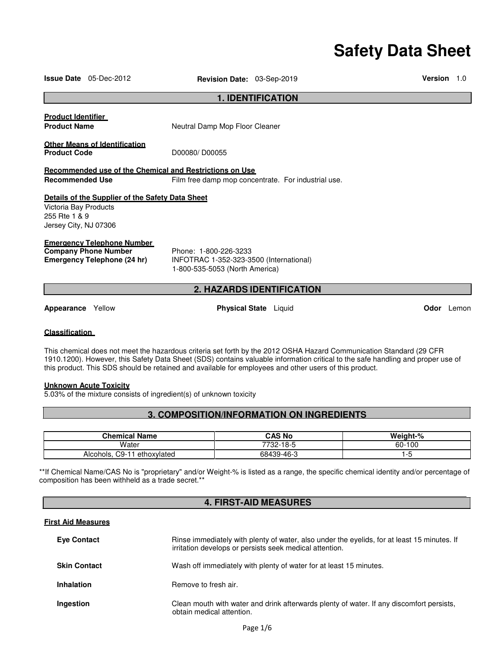# **Safety Data Sheet**

|                                                                 | <b>Issue Date</b> 05-Dec-2012                                                            | <b>Revision Date: 03-Sep-2019</b>                                                                  |                                                     | Version | 1.0 |
|-----------------------------------------------------------------|------------------------------------------------------------------------------------------|----------------------------------------------------------------------------------------------------|-----------------------------------------------------|---------|-----|
|                                                                 |                                                                                          |                                                                                                    | <b>1. IDENTIFICATION</b>                            |         |     |
| <b>Product Identifier</b><br><b>Product Name</b>                |                                                                                          | Neutral Damp Mop Floor Cleaner                                                                     |                                                     |         |     |
| <b>Product Code</b>                                             | <b>Other Means of Identification</b>                                                     | D00080/D00055                                                                                      |                                                     |         |     |
| <b>Recommended Use</b>                                          |                                                                                          | Recommended use of the Chemical and Restrictions on Use                                            | Film free damp mop concentrate. For industrial use. |         |     |
| Victoria Bay Products<br>255 Rte 1 & 9<br>Jersey City, NJ 07306 | Details of the Supplier of the Safety Data Sheet                                         |                                                                                                    |                                                     |         |     |
|                                                                 | Emergency Telephone Number<br><b>Company Phone Number</b><br>Emergency Telephone (24 hr) | Phone: 1-800-226-3233<br>INFOTRAC 1-352-323-3500 (International)<br>1-800-535-5053 (North America) |                                                     |         |     |
| <b>2. HAZARDS IDENTIFICATION</b>                                |                                                                                          |                                                                                                    |                                                     |         |     |
|                                                                 |                                                                                          |                                                                                                    |                                                     |         |     |

**Appearance** Yellow **Physical State** Liquid **Odor** Lemon

# **Classification**

This chemical does not meet the hazardous criteria set forth by the 2012 OSHA Hazard Communication Standard (29 CFR 1910.1200). However, this Safety Data Sheet (SDS) contains valuable information critical to the safe handling and proper use of this product. This SDS should be retained and available for employees and other users of this product.

# **Unknown Acute Toxicity**

5.03% of the mixture consists of ingredient(s) of unknown toxicity

# **3. COMPOSITION/INFORMATION ON INGREDIENTS**

| Chemical Name                     | CAS No     | Weight-% |
|-----------------------------------|------------|----------|
| Water                             | '732-18-5  | 60-100   |
| $C9-$<br>ethoxylated<br>Alcohols. | 68439-46-3 | .<br>. . |

\*\*If Chemical Name/CAS No is "proprietary" and/or Weight-% is listed as a range, the specific chemical identity and/or percentage of composition has been withheld as a trade secret.\*\*

# **4. FIRST-AID MEASURES**

# **First Aid Measures**

| <b>Eve Contact</b>  | Rinse immediately with plenty of water, also under the eyelids, for at least 15 minutes. If<br>irritation develops or persists seek medical attention. |
|---------------------|--------------------------------------------------------------------------------------------------------------------------------------------------------|
| <b>Skin Contact</b> | Wash off immediately with plenty of water for at least 15 minutes.                                                                                     |
| <b>Inhalation</b>   | Remove to fresh air.                                                                                                                                   |
| Ingestion           | Clean mouth with water and drink afterwards plenty of water. If any discomfort persists,<br>obtain medical attention.                                  |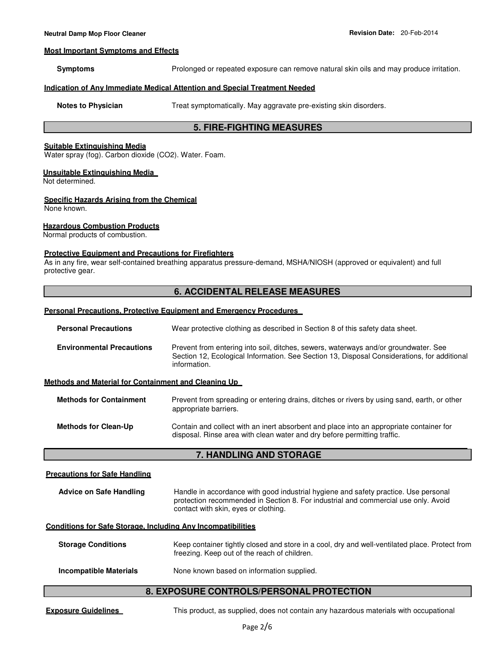#### **Most Important Symptoms and Effects**

**Symptoms** Prolonged or repeated exposure can remove natural skin oils and may produce irritation.

# **Indication of Any Immediate Medical Attention and Special Treatment Needed**

**Notes to Physician Treat symptomatically. May aggravate pre-existing skin disorders.** 

# **5. FIRE-FIGHTING MEASURES**

#### **Suitable Extinguishing Media**

Water spray (fog). Carbon dioxide (CO2). Water. Foam.

#### **Unsuitable Extinguishing Media**

Not determined.

# **Specific Hazards Arising from the Chemical**

None known.

# **Hazardous Combustion Products**

Normal products of combustion.

# **Protective Equipment and Precautions for Firefighters**

As in any fire, wear self-contained breathing apparatus pressure-demand, MSHA/NIOSH (approved or equivalent) and full protective gear.

# **6. ACCIDENTAL RELEASE MEASURES**

#### **Personal Precautions, Protective Equipment and Emergency Procedures**

| Wear protective clothing as described in Section 8 of this safety data sheet.                                                                                                      |
|------------------------------------------------------------------------------------------------------------------------------------------------------------------------------------|
| Prevent from entering into soil, ditches, sewers, waterways and/or groundwater. See<br>Section 12, Ecological Information. See Section 13, Disposal Considerations, for additional |
|                                                                                                                                                                                    |
| Prevent from spreading or entering drains, ditches or rivers by using sand, earth, or other                                                                                        |
|                                                                                                                                                                                    |

# **Methods for Clean-Up** Contain and collect with an inert absorbent and place into an appropriate container for disposal. Rinse area with clean water and dry before permitting traffic.

# **7. HANDLING AND STORAGE**

# **Precautions for Safe Handling**

| Advice on Safe Handling | Handle in accordance with good industrial hygiene and safety practice. Use personal |
|-------------------------|-------------------------------------------------------------------------------------|
|                         | protection recommended in Section 8. For industrial and commercial use only. Avoid  |
|                         | contact with skin, eyes or clothing.                                                |

# **Conditions for Safe Storage, Including Any Incompatibilities**

| <b>Storage Conditions</b> | Keep container tightly closed and store in a cool, dry and well-ventilated place. Protect from<br>freezing. Keep out of the reach of children. |
|---------------------------|------------------------------------------------------------------------------------------------------------------------------------------------|
| Incompatible Materials    | None known based on information supplied.                                                                                                      |

# **8. EXPOSURE CONTROLS/PERSONAL PROTECTION**

**Exposure Guidelines** This product, as supplied, does not contain any hazardous materials with occupational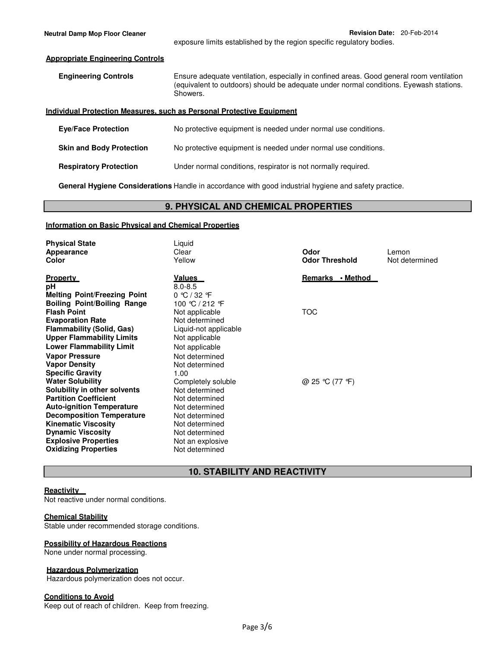#### **Individual Protection Measures, such as Personal Protective Equipment**

| <b>Eve/Face Protection</b>      | No protective equipment is needed under normal use conditions. |
|---------------------------------|----------------------------------------------------------------|
| <b>Skin and Body Protection</b> | No protective equipment is needed under normal use conditions. |
| <b>Respiratory Protection</b>   | Under normal conditions, respirator is not normally required.  |

**General Hygiene Considerations** Handle in accordance with good industrial hygiene and safety practice.

# **9. PHYSICAL AND CHEMICAL PROPERTIES**

# **Information on Basic Physical and Chemical Properties**

| <b>Physical State</b><br>Appearance<br>Color                                                                                                                                                                                                                 | Liquid<br>Clear<br>Yellow                                                                                                                      | Odor<br><b>Odor Threshold</b> | Lemon<br>Not determined |
|--------------------------------------------------------------------------------------------------------------------------------------------------------------------------------------------------------------------------------------------------------------|------------------------------------------------------------------------------------------------------------------------------------------------|-------------------------------|-------------------------|
| <b>Property</b><br>рH<br><b>Melting Point/Freezing Point</b><br><b>Boiling Point/Boiling Range</b>                                                                                                                                                           | <u>Values</u><br>$8.0 - 8.5$<br>$0 \text{ °C} / 32 \text{ °F}$<br>100 ℃ / 212 °F                                                               | Remarks • Method              |                         |
| <b>Flash Point</b><br><b>Evaporation Rate</b><br><b>Flammability (Solid, Gas)</b><br><b>Upper Flammability Limits</b><br><b>Lower Flammability Limit</b>                                                                                                     | Not applicable<br>Not determined<br>Liquid-not applicable<br>Not applicable<br>Not applicable                                                  | TOC                           |                         |
| <b>Vapor Pressure</b><br><b>Vapor Density</b><br><b>Specific Gravity</b><br><b>Water Solubility</b>                                                                                                                                                          | Not determined<br>Not determined<br>1.00<br>Completely soluble                                                                                 | @ 25 ℃ (77 °F)                |                         |
| Solubility in other solvents<br><b>Partition Coefficient</b><br><b>Auto-ignition Temperature</b><br><b>Decomposition Temperature</b><br><b>Kinematic Viscosity</b><br><b>Dynamic Viscosity</b><br><b>Explosive Properties</b><br><b>Oxidizing Properties</b> | Not determined<br>Not determined<br>Not determined<br>Not determined<br>Not determined<br>Not determined<br>Not an explosive<br>Not determined |                               |                         |

# **10. STABILITY AND REACTIVITY**

# **Reactivity**

Not reactive under normal conditions.

# **Chemical Stability**

Stable under recommended storage conditions.

# **Possibility of Hazardous Reactions**

None under normal processing.

# **Hazardous Polymerization**

Hazardous polymerization does not occur.

#### **Conditions to Avoid**

Keep out of reach of children. Keep from freezing.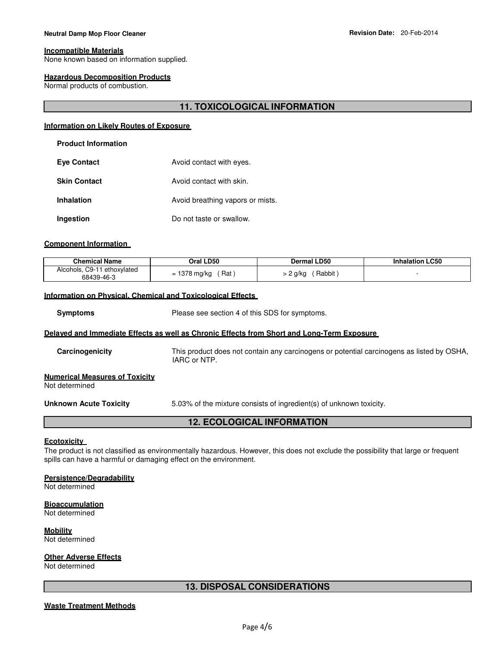# **Neutral Damp Mop Floor Cleaner Revision Date: 20-Feb-2014**

#### **Incompatible Materials**

None known based on information supplied.

#### **Hazardous Decomposition Products**

Normal products of combustion.

# **11. TOXICOLOGICAL INFORMATION**

# **Information on Likely Routes of Exposure**

# **Product Information**

| <b>Eye Contact</b>  | Avoid contact with eyes.         |
|---------------------|----------------------------------|
| <b>Skin Contact</b> | Avoid contact with skin.         |
| <b>Inhalation</b>   | Avoid breathing vapors or mists. |
| Ingestion           | Do not taste or swallow.         |

#### **Component Information**

| <b>Chemical Name</b>                      | Oral LD50                | <b>Dermal LD50</b> | <b>Inhalation LC50</b> |
|-------------------------------------------|--------------------------|--------------------|------------------------|
| Alcohols, C9-11 ethoxylated<br>68439-46-3 | 1378 mg/kg<br>Rat<br>$=$ | Rabbit<br>∠ 2 a/ka |                        |

# **Information on Physical, Chemical and Toxicological Effects**

**Symptoms** Please see section 4 of this SDS for symptoms.

#### **Delayed and Immediate Effects as well as Chronic Effects from Short and Long-Term Exposure**

**Carcinogenicity** This product does not contain any carcinogens or potential carcinogens as listed by OSHA, IARC or NTP.

#### **Numerical Measures of Toxicity**

Not determined

**Unknown Acute Toxicity** 5.03% of the mixture consists of ingredient(s) of unknown toxicity.

# **12. ECOLOGICAL INFORMATION**

# **Ecotoxicity**

The product is not classified as environmentally hazardous. However, this does not exclude the possibility that large or frequent spills can have a harmful or damaging effect on the environment.

#### **Persistence/Degradability**

Not determined

#### **Bioaccumulation**

Not determined

**Mobility** Not determined

#### **Other Adverse Effects**

Not determined

# **13. DISPOSAL CONSIDERATIONS**

#### **Waste Treatment Methods**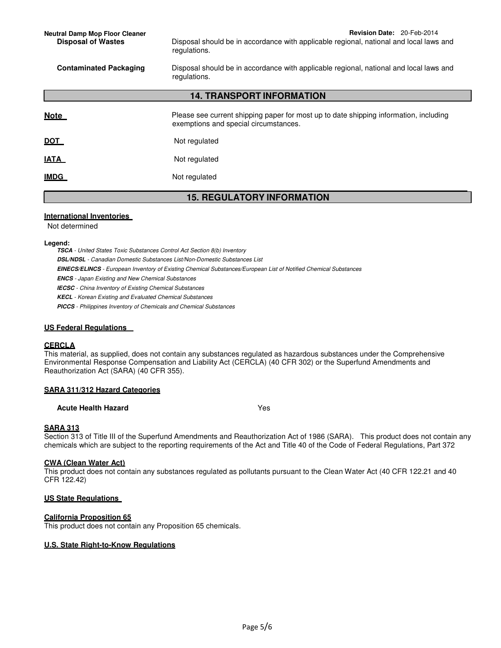**14. TRANSPORT INFORMATION**

|             | ורשוואוויש וויוויש ושוארו הדו                                                                                                  |
|-------------|--------------------------------------------------------------------------------------------------------------------------------|
| <b>Note</b> | Please see current shipping paper for most up to date shipping information, including<br>exemptions and special circumstances. |
| <u>DOT</u>  | Not regulated                                                                                                                  |
| <b>IATA</b> | Not regulated                                                                                                                  |
| <u>IMDG</u> | Not regulated                                                                                                                  |

# **15. REGULATORY INFORMATION**

# **International Inventories**

Not determined

# **Legend:**

**TSCA** - United States Toxic Substances Control Act Section 8(b) Inventory **DSL/NDSL** - Canadian Domestic Substances List/Non-Domestic Substances List **EINECS/ELINCS** - European Inventory of Existing Chemical Substances/European List of Notified Chemical Substances **ENCS** - Japan Existing and New Chemical Substances **IECSC** - China Inventory of Existing Chemical Substances **KECL** - Korean Existing and Evaluated Chemical Substances **PICCS** - Philippines Inventory of Chemicals and Chemical Substances

# **US Federal Regulations**

# **CERCLA**

This material, as supplied, does not contain any substances regulated as hazardous substances under the Comprehensive Environmental Response Compensation and Liability Act (CERCLA) (40 CFR 302) or the Superfund Amendments and Reauthorization Act (SARA) (40 CFR 355).

# **SARA 311/312 Hazard Categories**

# **Acute Health Hazard** Yes

# **SARA 313**

Section 313 of Title III of the Superfund Amendments and Reauthorization Act of 1986 (SARA). This product does not contain any chemicals which are subject to the reporting requirements of the Act and Title 40 of the Code of Federal Regulations, Part 372

# **CWA (Clean Water Act)**

This product does not contain any substances regulated as pollutants pursuant to the Clean Water Act (40 CFR 122.21 and 40 CFR 122.42)

# **US State Regulations**

# **California Proposition 65**

This product does not contain any Proposition 65 chemicals.

# **U.S. State Right-to-Know Regulations**